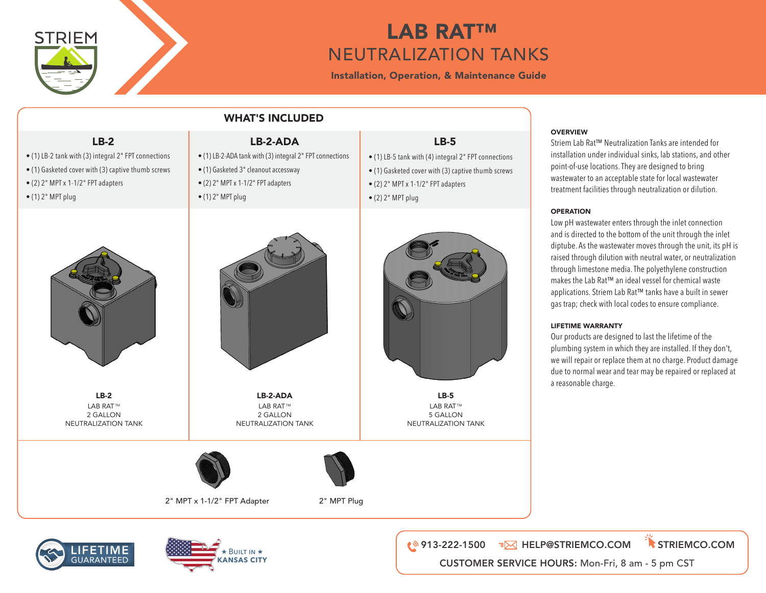

**What's Included:**

#### $\mathbf{L}$   $\mathbf{L}$   $\mathbf{L}$   $\mathbf{A}$   $\mathbf{B}$   $\mathbf{R}$   $\mathbf{A}$  $\mathbf{T}^{\mathsf{TM}}$ **EXECUTRALIZATION TANKS** • (1) Gasketed 3" cleanout accessway • (1) LB-5 tank with integral (4) 2" FPT connections • (1) Gasketed cover with  $\mathsf{LAB}\ \mathsf{RAI}\ \mathsf{I}^{\mathsf{m}}$  and thumb screws with integral (2) FPT connections with integral (2) FPT connections with integral (2) FPT connections with integral (2) FPT connections with integral  $\blacksquare$   $\blacksquare$   $\blacksquare$   $\blacksquare$   $\blacksquare$   $\blacksquare$   $\blacksquare$ **LB-5:**  $\mathbf{r}$  and the standard (4)  $\mathbf{r}$  for the grad (4)  $\mathbf{r}$  $\blacksquare$  . ANNEUTRALIZATION TANKS  $\blacksquare$  $\overline{a}$ **LB-5:**  $\mathsf{I}$  ANKS tank with integral (4)  $\mathsf{I}$

Installation, Operation, & Maintenance Guide • (2) 2" MPT x 1-1/2" FPT bushing • (2) 2" MPT x 1-1/2" FPT bushing

| <b>WHAT'S INCLUDED</b>                                                                                                                                                                  |                                                                                                                                                                                 |                                                                                                                                                                                                 |                                                                                                                                                                                                                                                                                                                                                                                                         |
|-----------------------------------------------------------------------------------------------------------------------------------------------------------------------------------------|---------------------------------------------------------------------------------------------------------------------------------------------------------------------------------|-------------------------------------------------------------------------------------------------------------------------------------------------------------------------------------------------|---------------------------------------------------------------------------------------------------------------------------------------------------------------------------------------------------------------------------------------------------------------------------------------------------------------------------------------------------------------------------------------------------------|
| $LB-2$<br>· (1) LB-2 tank with (3) integral 2" FPT connections<br>• (1) Gasketed cover with (3) captive thumb screws<br>• (2) 2" MPT x 1-1/2" FPT adapters<br>$\bullet$ (1) 2" MPT plug | LB-2-ADA<br>• (1) LB-2-ADA tank with (3) integral 2" FPT connections<br>· (1) Gasketed 3" cleanout accessway<br>• (2) 2" MPT x 1-1/2" FPT adapters<br>$\bullet$ (1) 2" MPT plug | $LB-5$<br>• (1) LB-5 tank with (4) integral 2" FPT connections<br>• (1) Gasketed cover with (3) captive thumb screws<br>$\bullet$ (2) 2" MPT x 1-1/2" FPT adapters<br>$\bullet$ (2) 2" MPT plug | <b>OVERVIEW</b><br>Striem Lab Rat™ Neutra<br>installation under indiv<br>point-of-use locations. T<br>wastewater to an accept<br>treatment facilities thro                                                                                                                                                                                                                                              |
|                                                                                                                                                                                         |                                                                                                                                                                                 |                                                                                                                                                                                                 | <b>OPERATION</b><br>Low pH wastewater ente<br>and is directed to the bo<br>diptube. As the wastewa<br>raised through dilution<br>through limestone med<br>makes the Lab Rat™ an<br>applications. Striem Lab<br>gas trap; check with loca<br><b>LIFETIME WARRANTY</b><br>Our products are design<br>plumbing system in wh<br>we will repair or replace<br>due to normal wear and<br>a reasonable charge. |
| $LB-2$<br><b>LAB RAT™</b><br>2 GALLON<br>NEUTRALIZATION TANK                                                                                                                            | LB-2-ADA<br><b>LAB RAT™</b><br>2 GALLON<br>NEUTRALIZATION TANK                                                                                                                  | $LB-5$<br><b>LAB RAT™</b><br>5 GALLON<br>NEUTRALIZATION TANK                                                                                                                                    |                                                                                                                                                                                                                                                                                                                                                                                                         |
|                                                                                                                                                                                         |                                                                                                                                                                                 |                                                                                                                                                                                                 |                                                                                                                                                                                                                                                                                                                                                                                                         |
|                                                                                                                                                                                         | 2" MPT x 1-1/2" FPT Adapter<br>2" MPT Plug                                                                                                                                      |                                                                                                                                                                                                 |                                                                                                                                                                                                                                                                                                                                                                                                         |
|                                                                                                                                                                                         |                                                                                                                                                                                 |                                                                                                                                                                                                 |                                                                                                                                                                                                                                                                                                                                                                                                         |

### **OVERVIEW**  $w_1$  and  $w_2$  wastewater to an acceptable state for local wastewater  $w_1$

О∨⊵к∨Iew<br>Striem Lab Rat™ Neutralization Tanks are intended for sthem tab Kat<sup>ha</sup> Neutralization fanks are intended for<br>installation under individual sinks, lab stations, and other point-of-use locations. They are designed to bring point or use focutions. They are designed to bring<br>wastewater to an acceptable state for local wastewater the treatment facilities through neutralization or dilution. t facilities through neutralization or dilution. lat™ Neutralization Tanks are intended for  $\mathbf{t}$  to the bottom of the inlet diptube. As the wastewater diptube. As the wastewater diptube. As the wastewater diptube. As the wastewater distribution of  $\mathbf{t}$ under individual sinks, lab stations, and other

### **OPERATION** construction makes the Lab Rat™ and ideal vessel for chemical waste for chemical waste for chemical waste for chemical waste

or ERRITOR™<br>Low pH wastewater enters through the inlet connection and is directed to the bottom of the unit through the inlet diptube. As the wastewater moves through the unit, its pH is raised through dilution with neutral water, or neutralization through limestone media. The polyethylene construction<br>makes the Lah Rat™ an ideal vessel for chemical waste makes the Lab Rat™ an ideal vessel for chemical waste makes the Lab Rat™ an ideal vesser for chennical waste<br>applications. Striem Lab Rat™ tanks have a built in sewer appreadoris: stricting that the damage due to entermine wear-<br>gas trap; check with local codes to ensure compliance. ---<br>astewater enters through the inlet connection e Lab Rat™ an ideal vessel for chemical waste<br>ns. Striem Lab Rat™ tanks have a built in sewer ed to the bottom of the unit through the inlet eck with local codes to ensure compliance.<br> ewater enters through the iniet connection  $\overline{\phantom{a}}$  $\alpha$  assume an above a build with the will, its product in  $\alpha$ 

 $\mathbf{L}$ 

# LIFETIME WARRANTY

Our products are designed to last the lifetime of the plumbing system in which they are installed. If they don't, we will repair or replace them at no charge. Product damage due to normal wear and tear may be repaired or replaced at a reasonable charge.

> **www.striemco.com Made in the U.S.A**





**Lifetime Warranty** Our products are designed to last the lifetime of the plumbing system in which they are installed. If they don't, we woll repair or replace them at no charge. Product damage due to normal wear and tear may be **Lifetime Warranty** Our products are designed to last the lifetime of the plumbing system in which they are installed. If they don't, we woll repair or replace them at no charge. Product damage due to normal wear and tear may be **DWG BY:** MJ **DATE:** 08/16/2021 **REV: ECO:** THE INFORMATION CONTAINED IN THIS DRAWING IS THE SOLE PROPERTY OF **STRIEM, LLC.** ANY REPRODUCTION IN PART OR AS A WHOLE WITHOUT THE WRITTEN PERMISSION OF **STRIEM, LLC.** IS PROHIBITED. 913-222-1500 HELP@STRIEMCO.COM STRIEMCO.COM CUSTOMER SERVICE HOURS: Mon-Fri, 8 am - 5 pm CST